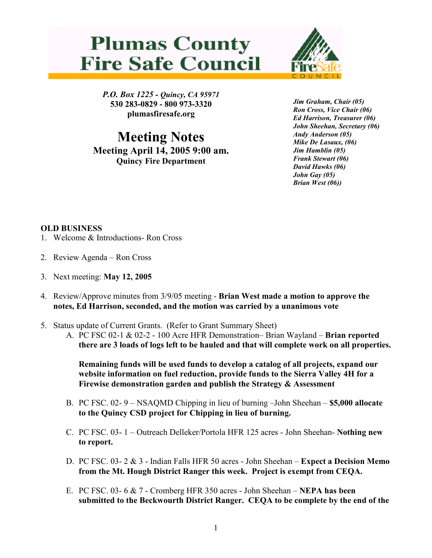## **Plumas County Fire Safe Council**



P.O. Box 1225 - Quincy, CA 95971 530 283-0829 - 800 973-3320 plumasfiresafe.org

Meeting Notes Meeting April 14, 2005 9:00 am. Quincy Fire Department

Jim Graham, Chair (05) Ron Cross, Vice Chair (06) Ed Harrison, Treasurer (06) John Sheehan, Secretary (06) Andy Anderson (05) Mike De Lasaux, (06) Jim Hamblin (05) Frank Stewart (06) David Hawks (06) John Gay (05) Brian West (06))

## OLD BUSINESS

- 1. Welcome & Introductions- Ron Cross
- 2. Review Agenda Ron Cross
- 3. Next meeting: May 12, 2005
- 4. Review/Approve minutes from 3/9/05 meeting Brian West made a motion to approve the notes, Ed Harrison, seconded, and the motion was carried by a unanimous vote
- 5. Status update of Current Grants. (Refer to Grant Summary Sheet)
	- A. PC FSC 02-1 & 02-2 100 Acre HFR Demonstration– Brian Wayland Brian reported there are 3 loads of logs left to be hauled and that will complete work on all properties.

Remaining funds will be used funds to develop a catalog of all projects, expand our website information on fuel reduction, provide funds to the Sierra Valley 4H for a Firewise demonstration garden and publish the Strategy & Assessment

- B. PC FSC. 02- 9 NSAQMD Chipping in lieu of burning –John Sheehan \$5,000 allocate to the Quincy CSD project for Chipping in lieu of burning.
- C. PC FSC. 03- 1 Outreach Delleker/Portola HFR 125 acres John Sheehan- Nothing new to report.
- D. PC FSC. 03- 2 & 3 Indian Falls HFR 50 acres John Sheehan Expect a Decision Memo from the Mt. Hough District Ranger this week. Project is exempt from CEQA.
- E. PC FSC. 03- 6 & 7 Cromberg HFR 350 acres John Sheehan NEPA has been submitted to the Beckwourth District Ranger. CEQA to be complete by the end of the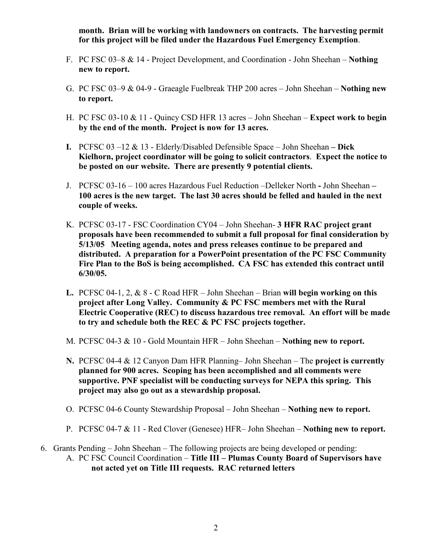month. Brian will be working with landowners on contracts. The harvesting permit for this project will be filed under the Hazardous Fuel Emergency Exemption.

- F. PC FSC 03–8 & 14 Project Development, and Coordination John Sheehan Nothing new to report.
- G. PC FSC 03–9 & 04-9 Graeagle Fuelbreak THP 200 acres John Sheehan Nothing new to report.
- H. PC FSC 03-10 & 11 Quincy CSD HFR 13 acres John Sheehan Expect work to begin by the end of the month. Project is now for 13 acres.
- I. PCFSC  $03 12 \& 13$  Elderly/Disabled Defensible Space John Sheehan Dick Kielhorn, project coordinator will be going to solicit contractors. Expect the notice to be posted on our website. There are presently 9 potential clients.
- J. PCFSC 03-16 100 acres Hazardous Fuel Reduction –Delleker North John Sheehan 100 acres is the new target. The last 30 acres should be felled and hauled in the next couple of weeks.
- K. PCFSC 03-17 FSC Coordination CY04 John Sheehan- 3 HFR RAC project grant proposals have been recommended to submit a full proposal for final consideration by 5/13/05 Meeting agenda, notes and press releases continue to be prepared and distributed. A preparation for a PowerPoint presentation of the PC FSC Community Fire Plan to the BoS is being accomplished. CA FSC has extended this contract until 6/30/05.
- L. PCFSC 04-1, 2,  $\&$  8 C Road HFR John Sheehan Brian will begin working on this project after Long Valley. Community & PC FSC members met with the Rural Electric Cooperative (REC) to discuss hazardous tree removal. An effort will be made to try and schedule both the REC & PC FSC projects together.
- M. PCFSC 04-3 & 10 Gold Mountain HFR John Sheehan Nothing new to report.
- N. PCFSC 04-4 & 12 Canyon Dam HFR Planning– John Sheehan The project is currently planned for 900 acres. Scoping has been accomplished and all comments were supportive. PNF specialist will be conducting surveys for NEPA this spring. This project may also go out as a stewardship proposal.
- O. PCFSC 04-6 County Stewardship Proposal John Sheehan Nothing new to report.
- P. PCFSC 04-7 & 11 Red Clover (Genesee) HFR– John Sheehan Nothing new to report.
- 6. Grants Pending John Sheehan The following projects are being developed or pending: A. PC FSC Council Coordination – Title III – Plumas County Board of Supervisors have not acted yet on Title III requests. RAC returned letters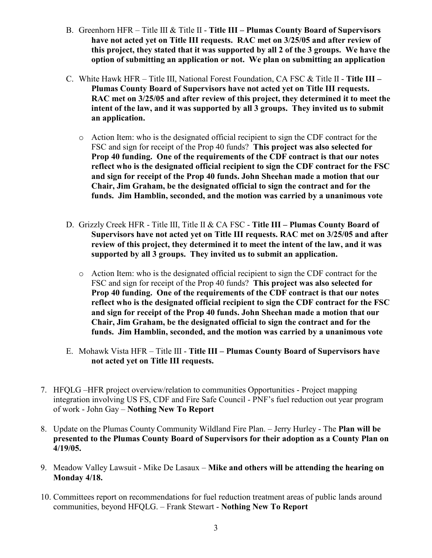- B. Greenhorn HFR Title III & Title II Title III Plumas County Board of Supervisors have not acted yet on Title III requests. RAC met on 3/25/05 and after review of this project, they stated that it was supported by all 2 of the 3 groups. We have the option of submitting an application or not. We plan on submitting an application
- C. White Hawk HFR Title III, National Forest Foundation, CA FSC  $\&$  Title II Title III Plumas County Board of Supervisors have not acted yet on Title III requests. RAC met on 3/25/05 and after review of this project, they determined it to meet the intent of the law, and it was supported by all 3 groups. They invited us to submit an application.
	- $\circ$  Action Item: who is the designated official recipient to sign the CDF contract for the FSC and sign for receipt of the Prop 40 funds? This project was also selected for Prop 40 funding. One of the requirements of the CDF contract is that our notes reflect who is the designated official recipient to sign the CDF contract for the FSC and sign for receipt of the Prop 40 funds. John Sheehan made a motion that our Chair, Jim Graham, be the designated official to sign the contract and for the funds. Jim Hamblin, seconded, and the motion was carried by a unanimous vote
- D. Grizzly Creek HFR Title III, Title II & CA FSC Title III Plumas County Board of Supervisors have not acted yet on Title III requests. RAC met on 3/25/05 and after review of this project, they determined it to meet the intent of the law, and it was supported by all 3 groups. They invited us to submit an application.
	- o Action Item: who is the designated official recipient to sign the CDF contract for the FSC and sign for receipt of the Prop 40 funds? This project was also selected for Prop 40 funding. One of the requirements of the CDF contract is that our notes reflect who is the designated official recipient to sign the CDF contract for the FSC and sign for receipt of the Prop 40 funds. John Sheehan made a motion that our Chair, Jim Graham, be the designated official to sign the contract and for the funds. Jim Hamblin, seconded, and the motion was carried by a unanimous vote
- E. Mohawk Vista HFR Title III Title III Plumas County Board of Supervisors have not acted yet on Title III requests.
- 7. HFQLG –HFR project overview/relation to communities Opportunities Project mapping integration involving US FS, CDF and Fire Safe Council - PNF's fuel reduction out year program of work - John Gay – Nothing New To Report
- 8. Update on the Plumas County Community Wildland Fire Plan. Jerry Hurley The Plan will be presented to the Plumas County Board of Supervisors for their adoption as a County Plan on 4/19/05.
- 9. Meadow Valley Lawsuit Mike De Lasaux Mike and others will be attending the hearing on Monday 4/18.
- 10. Committees report on recommendations for fuel reduction treatment areas of public lands around communities, beyond HFQLG. – Frank Stewart - Nothing New To Report